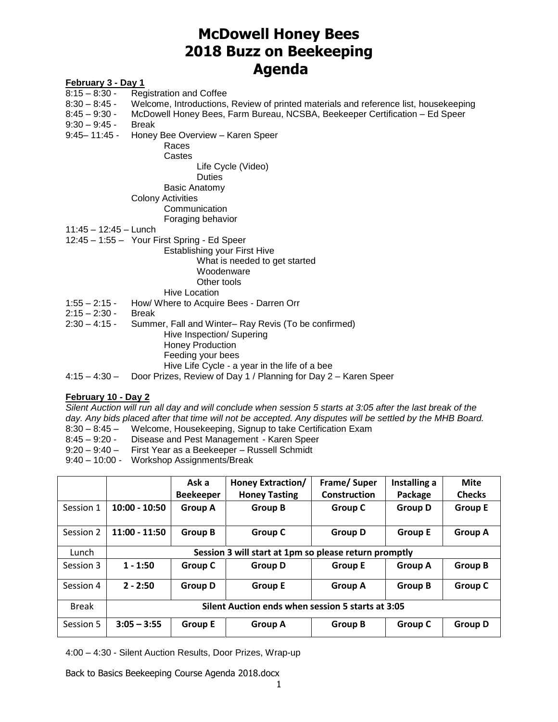# **McDowell Honey Bees 2018 Buzz on Beekeeping Agenda**

### **February 3 - Day 1**

- 8:15 8:30 Registration and Coffee
- 8:30 8:45 Welcome, Introductions, Review of printed materials and reference list, housekeeping
- 8:45 9:30 McDowell Honey Bees, Farm Bureau, NCSBA, Beekeeper Certification Ed Speer
- 9:30 9:45 Break
- 9:45– 11:45 Honey Bee Overview Karen Speer
	- Races Castes

Life Cycle (Video)

#### Duties

Basic Anatomy

### Colony Activities

**Communication** Foraging behavior

- 11:45 12:45 Lunch
- 12:45 1:55 Your First Spring Ed Speer

## Establishing your First Hive What is needed to get started Woodenware Other tools

- Hive Location
- 1:55 2:15 How/ Where to Acquire Bees Darren Orr
- 2:15 2:30 Break
- 2:30 4:15 Summer, Fall and Winter– Ray Revis (To be confirmed) Hive Inspection/ Supering Honey Production Feeding your bees Hive Life Cycle - a year in the life of a bee
- 4:15 4:30 Door Prizes, Review of Day 1 / Planning for Day 2 Karen Speer

#### **February 10 - Day 2**

*Silent Auction will run all day and will conclude when session 5 starts at 3:05 after the last break of the*  day. Any bids placed after that time will not be accepted. Any disputes will be settled by the MHB Board.

- 8:30 8:45 Welcome, Housekeeping, Signup to take Certification Exam
- 8:45 9:20 Disease and Pest Management Karen Speer
- 9:20 9:40 First Year as a Beekeeper Russell Schmidt
- 9:40 10:00 Workshop Assignments/Break

|              |                                                       | Ask a            | <b>Honey Extraction/</b> | Frame/Super         | Installing a   | <b>Mite</b>    |
|--------------|-------------------------------------------------------|------------------|--------------------------|---------------------|----------------|----------------|
|              |                                                       | <b>Beekeeper</b> | <b>Honey Tasting</b>     | <b>Construction</b> | Package        | <b>Checks</b>  |
| Session 1    | $10:00 - 10:50$                                       | <b>Group A</b>   | <b>Group B</b>           | <b>Group C</b>      | <b>Group D</b> | <b>Group E</b> |
| Session 2    | $11:00 - 11:50$                                       | <b>Group B</b>   | <b>Group C</b>           | <b>Group D</b>      | <b>Group E</b> | <b>Group A</b> |
| Lunch        | Session 3 will start at 1pm so please return promptly |                  |                          |                     |                |                |
| Session 3    | $1 - 1:50$                                            | Group C          | <b>Group D</b>           | <b>Group E</b>      | <b>Group A</b> | <b>Group B</b> |
| Session 4    | $2 - 2:50$                                            | <b>Group D</b>   | <b>Group E</b>           | <b>Group A</b>      | <b>Group B</b> | <b>Group C</b> |
| <b>Break</b> | Silent Auction ends when session 5 starts at 3:05     |                  |                          |                     |                |                |
| Session 5    | $3:05 - 3:55$                                         | <b>Group E</b>   | <b>Group A</b>           | <b>Group B</b>      | <b>Group C</b> | <b>Group D</b> |

4:00 – 4:30 - Silent Auction Results, Door Prizes, Wrap-up

Back to Basics Beekeeping Course Agenda 2018.docx